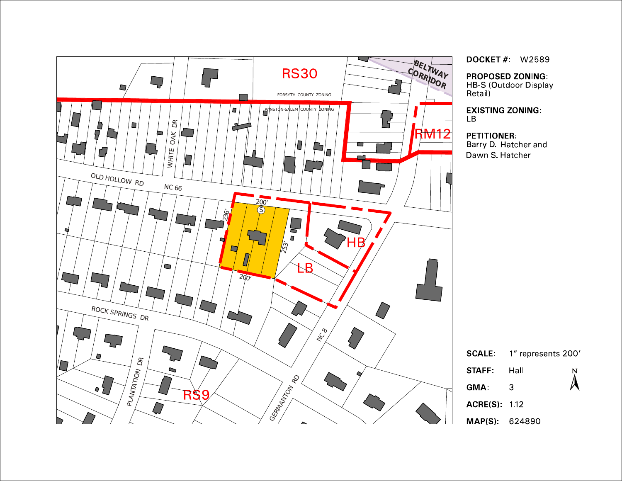

**DOCKET # W2589** 

**PROPOSED ZONING: HB-S (Outdoor Display** 

Retail)

**EXISTING ZONING:**  $\overline{LB}$ 

### **PETITIONER:**

Barry D. Hatcher and Dawn S. Hatcher

| <b>SCALE:</b>       | 1" represents 200' |                  |
|---------------------|--------------------|------------------|
| <b>STAFF:</b>       | Hall               | $\sum_{i=1}^{N}$ |
| GMA:                | З                  |                  |
| <b>ACRE(S): 112</b> |                    |                  |
| MAP(S): 624890      |                    |                  |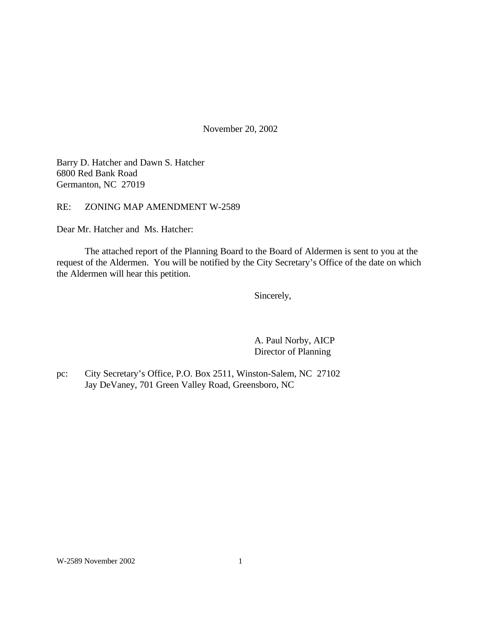November 20, 2002

Barry D. Hatcher and Dawn S. Hatcher 6800 Red Bank Road Germanton, NC 27019

RE: ZONING MAP AMENDMENT W-2589

Dear Mr. Hatcher and Ms. Hatcher:

The attached report of the Planning Board to the Board of Aldermen is sent to you at the request of the Aldermen. You will be notified by the City Secretary's Office of the date on which the Aldermen will hear this petition.

Sincerely,

A. Paul Norby, AICP Director of Planning

pc: City Secretary's Office, P.O. Box 2511, Winston-Salem, NC 27102 Jay DeVaney, 701 Green Valley Road, Greensboro, NC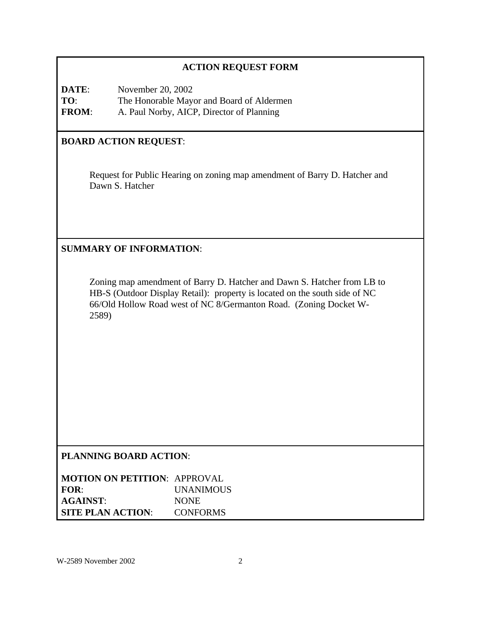# **ACTION REQUEST FORM**

**DATE:** November 20, 2002 **TO**: The Honorable Mayor and Board of Aldermen **FROM**: A. Paul Norby, AICP, Director of Planning

# **BOARD ACTION REQUEST**:

Request for Public Hearing on zoning map amendment of Barry D. Hatcher and Dawn S. Hatcher

## **SUMMARY OF INFORMATION**:

Zoning map amendment of Barry D. Hatcher and Dawn S. Hatcher from LB to HB-S (Outdoor Display Retail): property is located on the south side of NC 66/Old Hollow Road west of NC 8/Germanton Road. (Zoning Docket W-2589)

### **PLANNING BOARD ACTION**:

| <b>MOTION ON PETITION: APPROVAL</b> |                  |
|-------------------------------------|------------------|
| FOR:                                | <b>UNANIMOUS</b> |
| <b>AGAINST:</b>                     | <b>NONE</b>      |
| <b>SITE PLAN ACTION:</b>            | <b>CONFORMS</b>  |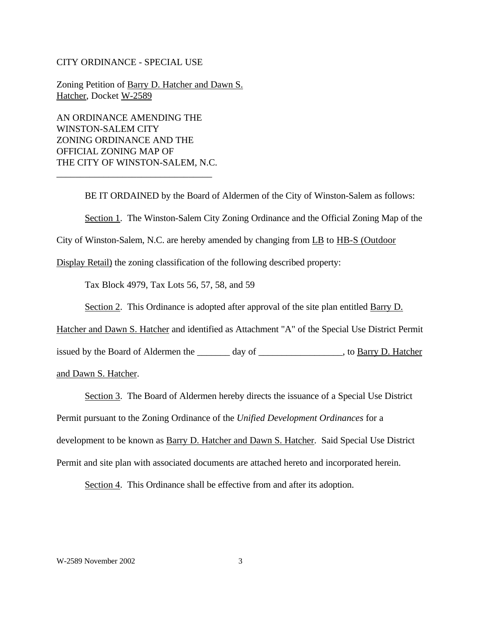#### CITY ORDINANCE - SPECIAL USE

Zoning Petition of Barry D. Hatcher and Dawn S. Hatcher, Docket W-2589

AN ORDINANCE AMENDING THE WINSTON-SALEM CITY ZONING ORDINANCE AND THE OFFICIAL ZONING MAP OF THE CITY OF WINSTON-SALEM, N.C.

\_\_\_\_\_\_\_\_\_\_\_\_\_\_\_\_\_\_\_\_\_\_\_\_\_\_\_\_\_\_\_\_\_

BE IT ORDAINED by the Board of Aldermen of the City of Winston-Salem as follows:

Section 1. The Winston-Salem City Zoning Ordinance and the Official Zoning Map of the

City of Winston-Salem, N.C. are hereby amended by changing from LB to HB-S (Outdoor

Display Retail) the zoning classification of the following described property:

Tax Block 4979, Tax Lots 56, 57, 58, and 59

Section 2. This Ordinance is adopted after approval of the site plan entitled Barry D.

Hatcher and Dawn S. Hatcher and identified as Attachment "A" of the Special Use District Permit

issued by the Board of Aldermen the \_\_\_\_\_\_\_ day of \_\_\_\_\_\_\_\_\_\_\_\_\_\_\_\_\_\_, to Barry D. Hatcher

and Dawn S. Hatcher.

Section 3. The Board of Aldermen hereby directs the issuance of a Special Use District

Permit pursuant to the Zoning Ordinance of the *Unified Development Ordinances* for a

development to be known as **Barry D. Hatcher and Dawn S. Hatcher.** Said Special Use District

Permit and site plan with associated documents are attached hereto and incorporated herein.

Section 4. This Ordinance shall be effective from and after its adoption.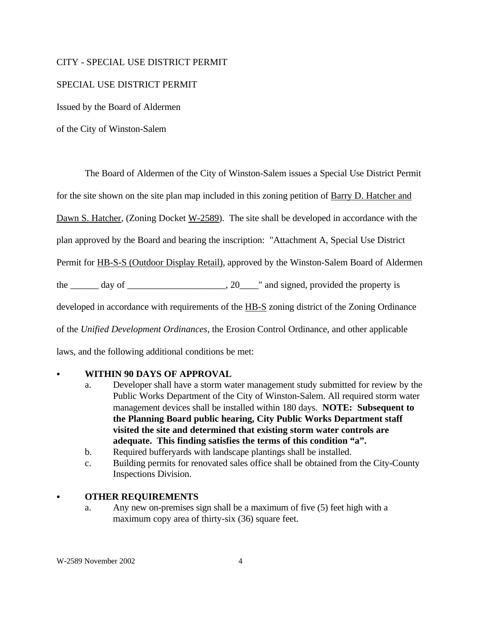#### CITY - SPECIAL USE DISTRICT PERMIT

### SPECIAL USE DISTRICT PERMIT

Issued by the Board of Aldermen

of the City of Winston-Salem

The Board of Aldermen of the City of Winston-Salem issues a Special Use District Permit for the site shown on the site plan map included in this zoning petition of Barry D. Hatcher and Dawn S. Hatcher, (Zoning Docket W-2589). The site shall be developed in accordance with the plan approved by the Board and bearing the inscription: "Attachment A, Special Use District Permit for HB-S-S (Outdoor Display Retail), approved by the Winston-Salem Board of Aldermen the  $\_\_\_\_$  day of  $\_\_\_\_\_\_\_\_\_$ , 20 $\_\_\_\_\$  and signed, provided the property is developed in accordance with requirements of the HB-S zoning district of the Zoning Ordinance of the *Unified Development Ordinances*, the Erosion Control Ordinance, and other applicable laws, and the following additional conditions be met:

### **WITHIN 90 DAYS OF APPROVAL**

- a. Developer shall have a storm water management study submitted for review by the Public Works Department of the City of Winston-Salem. All required storm water management devices shall be installed within 180 days. **NOTE: Subsequent to the Planning Board public hearing, City Public Works Department staff visited the site and determined that existing storm water controls are adequate. This finding satisfies the terms of this condition "a".**
- b. Required bufferyards with landscape plantings shall be installed.
- c. Building permits for renovated sales office shall be obtained from the City-County Inspections Division.

#### C **OTHER REQUIREMENTS**

a. Any new on-premises sign shall be a maximum of five (5) feet high with a maximum copy area of thirty-six (36) square feet.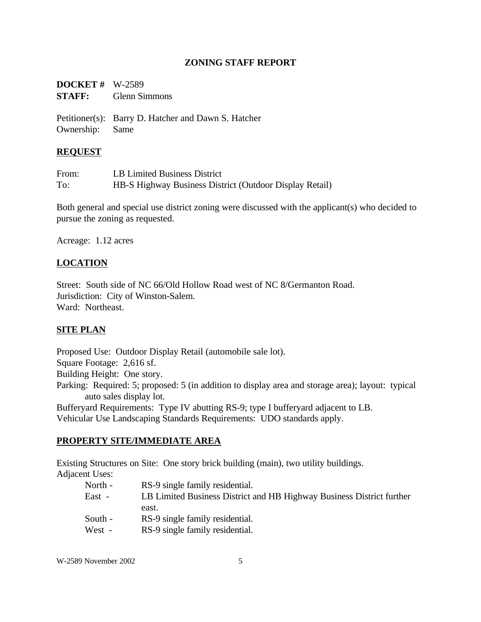## **ZONING STAFF REPORT**

| <b>DOCKET</b> # $W-2589$ |                      |
|--------------------------|----------------------|
| <b>STAFF:</b>            | <b>Glenn Simmons</b> |

Petitioner(s): Barry D. Hatcher and Dawn S. Hatcher Ownership: Same

### **REQUEST**

| From: | LB Limited Business District                            |
|-------|---------------------------------------------------------|
| To:   | HB-S Highway Business District (Outdoor Display Retail) |

Both general and special use district zoning were discussed with the applicant(s) who decided to pursue the zoning as requested.

Acreage: 1.12 acres

# **LOCATION**

Street: South side of NC 66/Old Hollow Road west of NC 8/Germanton Road. Jurisdiction: City of Winston-Salem. Ward: Northeast.

# **SITE PLAN**

Proposed Use: Outdoor Display Retail (automobile sale lot). Square Footage: 2,616 sf. Building Height: One story. Parking: Required: 5; proposed: 5 (in addition to display area and storage area); layout: typical auto sales display lot. Bufferyard Requirements: Type IV abutting RS-9; type I bufferyard adjacent to LB.

Vehicular Use Landscaping Standards Requirements: UDO standards apply.

### **PROPERTY SITE/IMMEDIATE AREA**

Existing Structures on Site: One story brick building (main), two utility buildings. Adjacent Uses:

| ut Obos. |                                                                       |
|----------|-----------------------------------------------------------------------|
| North -  | RS-9 single family residential.                                       |
| East -   | LB Limited Business District and HB Highway Business District further |
|          | east.                                                                 |
| South -  | RS-9 single family residential.                                       |
| West -   | RS-9 single family residential.                                       |

W-2589 November 2002 5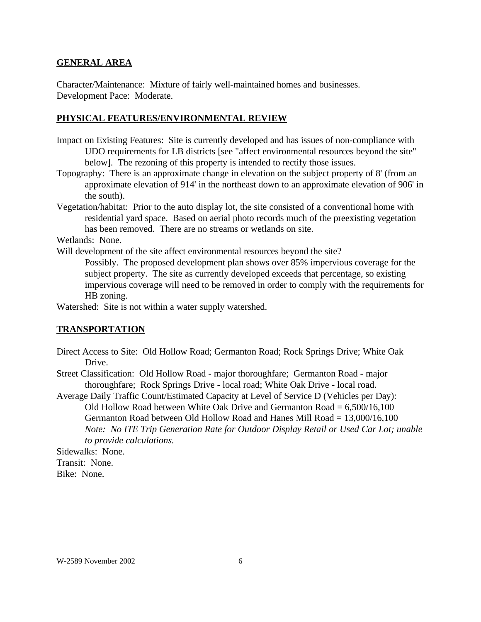#### **GENERAL AREA**

Character/Maintenance: Mixture of fairly well-maintained homes and businesses. Development Pace: Moderate.

#### **PHYSICAL FEATURES/ENVIRONMENTAL REVIEW**

- Impact on Existing Features: Site is currently developed and has issues of non-compliance with UDO requirements for LB districts [see "affect environmental resources beyond the site" below]. The rezoning of this property is intended to rectify those issues.
- Topography: There is an approximate change in elevation on the subject property of 8' (from an approximate elevation of 914' in the northeast down to an approximate elevation of 906' in the south).
- Vegetation/habitat: Prior to the auto display lot, the site consisted of a conventional home with residential yard space. Based on aerial photo records much of the preexisting vegetation has been removed. There are no streams or wetlands on site.

Wetlands: None.

Will development of the site affect environmental resources beyond the site?

Possibly. The proposed development plan shows over 85% impervious coverage for the subject property. The site as currently developed exceeds that percentage, so existing impervious coverage will need to be removed in order to comply with the requirements for HB zoning.

Watershed: Site is not within a water supply watershed.

#### **TRANSPORTATION**

- Direct Access to Site: Old Hollow Road; Germanton Road; Rock Springs Drive; White Oak Drive.
- Street Classification: Old Hollow Road major thoroughfare; Germanton Road major thoroughfare; Rock Springs Drive - local road; White Oak Drive - local road.

Average Daily Traffic Count/Estimated Capacity at Level of Service D (Vehicles per Day): Old Hollow Road between White Oak Drive and Germanton Road  $= 6,500/16,100$ Germanton Road between Old Hollow Road and Hanes Mill Road = 13,000/16,100 *Note: No ITE Trip Generation Rate for Outdoor Display Retail or Used Car Lot; unable to provide calculations.*

Sidewalks: None. Transit: None. Bike: None.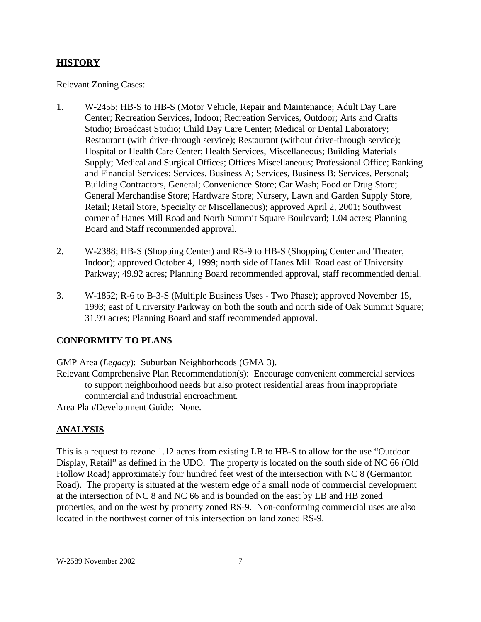## **HISTORY**

Relevant Zoning Cases:

- 1. W-2455; HB-S to HB-S (Motor Vehicle, Repair and Maintenance; Adult Day Care Center; Recreation Services, Indoor; Recreation Services, Outdoor; Arts and Crafts Studio; Broadcast Studio; Child Day Care Center; Medical or Dental Laboratory; Restaurant (with drive-through service); Restaurant (without drive-through service); Hospital or Health Care Center; Health Services, Miscellaneous; Building Materials Supply; Medical and Surgical Offices; Offices Miscellaneous; Professional Office; Banking and Financial Services; Services, Business A; Services, Business B; Services, Personal; Building Contractors, General; Convenience Store; Car Wash; Food or Drug Store; General Merchandise Store; Hardware Store; Nursery, Lawn and Garden Supply Store, Retail; Retail Store, Specialty or Miscellaneous); approved April 2, 2001; Southwest corner of Hanes Mill Road and North Summit Square Boulevard; 1.04 acres; Planning Board and Staff recommended approval.
- 2. W-2388; HB-S (Shopping Center) and RS-9 to HB-S (Shopping Center and Theater, Indoor); approved October 4, 1999; north side of Hanes Mill Road east of University Parkway; 49.92 acres; Planning Board recommended approval, staff recommended denial.
- 3. W-1852; R-6 to B-3-S (Multiple Business Uses Two Phase); approved November 15, 1993; east of University Parkway on both the south and north side of Oak Summit Square; 31.99 acres; Planning Board and staff recommended approval.

# **CONFORMITY TO PLANS**

GMP Area (*Legacy*): Suburban Neighborhoods (GMA 3).

Relevant Comprehensive Plan Recommendation(s): Encourage convenient commercial services to support neighborhood needs but also protect residential areas from inappropriate commercial and industrial encroachment.

Area Plan/Development Guide: None.

# **ANALYSIS**

This is a request to rezone 1.12 acres from existing LB to HB-S to allow for the use "Outdoor Display, Retail" as defined in the UDO. The property is located on the south side of NC 66 (Old Hollow Road) approximately four hundred feet west of the intersection with NC 8 (Germanton Road). The property is situated at the western edge of a small node of commercial development at the intersection of NC 8 and NC 66 and is bounded on the east by LB and HB zoned properties, and on the west by property zoned RS-9. Non-conforming commercial uses are also located in the northwest corner of this intersection on land zoned RS-9.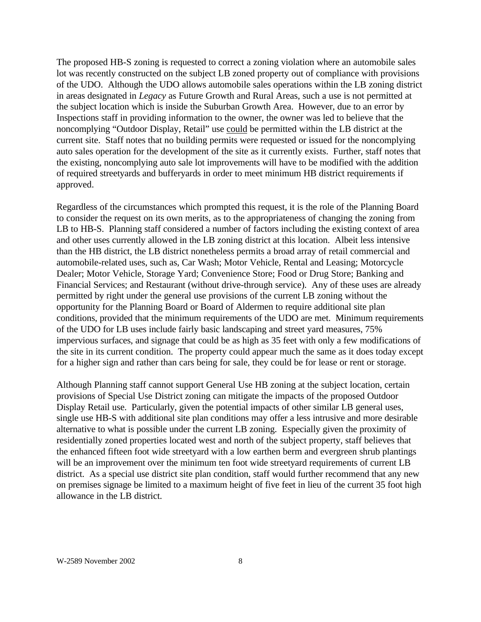The proposed HB-S zoning is requested to correct a zoning violation where an automobile sales lot was recently constructed on the subject LB zoned property out of compliance with provisions of the UDO. Although the UDO allows automobile sales operations within the LB zoning district in areas designated in *Legacy* as Future Growth and Rural Areas, such a use is not permitted at the subject location which is inside the Suburban Growth Area. However, due to an error by Inspections staff in providing information to the owner, the owner was led to believe that the noncomplying "Outdoor Display, Retail" use could be permitted within the LB district at the current site. Staff notes that no building permits were requested or issued for the noncomplying auto sales operation for the development of the site as it currently exists. Further, staff notes that the existing, noncomplying auto sale lot improvements will have to be modified with the addition of required streetyards and bufferyards in order to meet minimum HB district requirements if approved.

Regardless of the circumstances which prompted this request, it is the role of the Planning Board to consider the request on its own merits, as to the appropriateness of changing the zoning from LB to HB-S. Planning staff considered a number of factors including the existing context of area and other uses currently allowed in the LB zoning district at this location. Albeit less intensive than the HB district, the LB district nonetheless permits a broad array of retail commercial and automobile-related uses, such as, Car Wash; Motor Vehicle, Rental and Leasing; Motorcycle Dealer; Motor Vehicle, Storage Yard; Convenience Store; Food or Drug Store; Banking and Financial Services; and Restaurant (without drive-through service). Any of these uses are already permitted by right under the general use provisions of the current LB zoning without the opportunity for the Planning Board or Board of Aldermen to require additional site plan conditions, provided that the minimum requirements of the UDO are met. Minimum requirements of the UDO for LB uses include fairly basic landscaping and street yard measures, 75% impervious surfaces, and signage that could be as high as 35 feet with only a few modifications of the site in its current condition. The property could appear much the same as it does today except for a higher sign and rather than cars being for sale, they could be for lease or rent or storage.

Although Planning staff cannot support General Use HB zoning at the subject location, certain provisions of Special Use District zoning can mitigate the impacts of the proposed Outdoor Display Retail use. Particularly, given the potential impacts of other similar LB general uses, single use HB-S with additional site plan conditions may offer a less intrusive and more desirable alternative to what is possible under the current LB zoning. Especially given the proximity of residentially zoned properties located west and north of the subject property, staff believes that the enhanced fifteen foot wide streetyard with a low earthen berm and evergreen shrub plantings will be an improvement over the minimum ten foot wide streetyard requirements of current LB district. As a special use district site plan condition, staff would further recommend that any new on premises signage be limited to a maximum height of five feet in lieu of the current 35 foot high allowance in the LB district.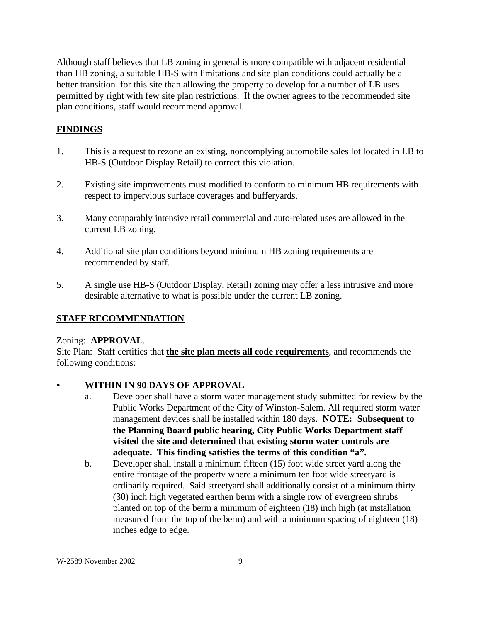Although staff believes that LB zoning in general is more compatible with adjacent residential than HB zoning, a suitable HB-S with limitations and site plan conditions could actually be a better transition for this site than allowing the property to develop for a number of LB uses permitted by right with few site plan restrictions. If the owner agrees to the recommended site plan conditions, staff would recommend approval.

## **FINDINGS**

- 1. This is a request to rezone an existing, noncomplying automobile sales lot located in LB to HB-S (Outdoor Display Retail) to correct this violation.
- 2. Existing site improvements must modified to conform to minimum HB requirements with respect to impervious surface coverages and bufferyards.
- 3. Many comparably intensive retail commercial and auto-related uses are allowed in the current LB zoning.
- 4. Additional site plan conditions beyond minimum HB zoning requirements are recommended by staff.
- 5. A single use HB-S (Outdoor Display, Retail) zoning may offer a less intrusive and more desirable alternative to what is possible under the current LB zoning.

### **STAFF RECOMMENDATION**

### Zoning: **APPROVAL**.

Site Plan: Staff certifies that **the site plan meets all code requirements**, and recommends the following conditions:

### **WITHIN IN 90 DAYS OF APPROVAL**

- a. Developer shall have a storm water management study submitted for review by the Public Works Department of the City of Winston-Salem. All required storm water management devices shall be installed within 180 days. **NOTE: Subsequent to the Planning Board public hearing, City Public Works Department staff visited the site and determined that existing storm water controls are adequate. This finding satisfies the terms of this condition "a".**
- b. Developer shall install a minimum fifteen (15) foot wide street yard along the entire frontage of the property where a minimum ten foot wide streetyard is ordinarily required. Said streetyard shall additionally consist of a minimum thirty (30) inch high vegetated earthen berm with a single row of evergreen shrubs planted on top of the berm a minimum of eighteen (18) inch high (at installation measured from the top of the berm) and with a minimum spacing of eighteen (18) inches edge to edge.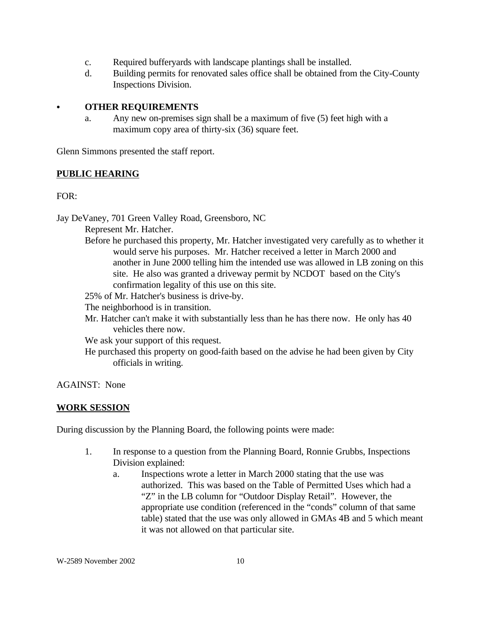- c. Required bufferyards with landscape plantings shall be installed.
- d. Building permits for renovated sales office shall be obtained from the City-County Inspections Division.

### C **OTHER REQUIREMENTS**

a. Any new on-premises sign shall be a maximum of five (5) feet high with a maximum copy area of thirty-six (36) square feet.

Glenn Simmons presented the staff report.

### **PUBLIC HEARING**

FOR:

Jay DeVaney, 701 Green Valley Road, Greensboro, NC

Represent Mr. Hatcher.

Before he purchased this property, Mr. Hatcher investigated very carefully as to whether it would serve his purposes. Mr. Hatcher received a letter in March 2000 and another in June 2000 telling him the intended use was allowed in LB zoning on this site. He also was granted a driveway permit by NCDOT based on the City's confirmation legality of this use on this site.

25% of Mr. Hatcher's business is drive-by.

The neighborhood is in transition.

Mr. Hatcher can't make it with substantially less than he has there now. He only has 40 vehicles there now.

We ask your support of this request.

He purchased this property on good-faith based on the advise he had been given by City officials in writing.

AGAINST: None

### **WORK SESSION**

During discussion by the Planning Board, the following points were made:

- 1. In response to a question from the Planning Board, Ronnie Grubbs, Inspections Division explained:
	- a. Inspections wrote a letter in March 2000 stating that the use was authorized. This was based on the Table of Permitted Uses which had a "Z" in the LB column for "Outdoor Display Retail". However, the appropriate use condition (referenced in the "conds" column of that same table) stated that the use was only allowed in GMAs 4B and 5 which meant it was not allowed on that particular site.